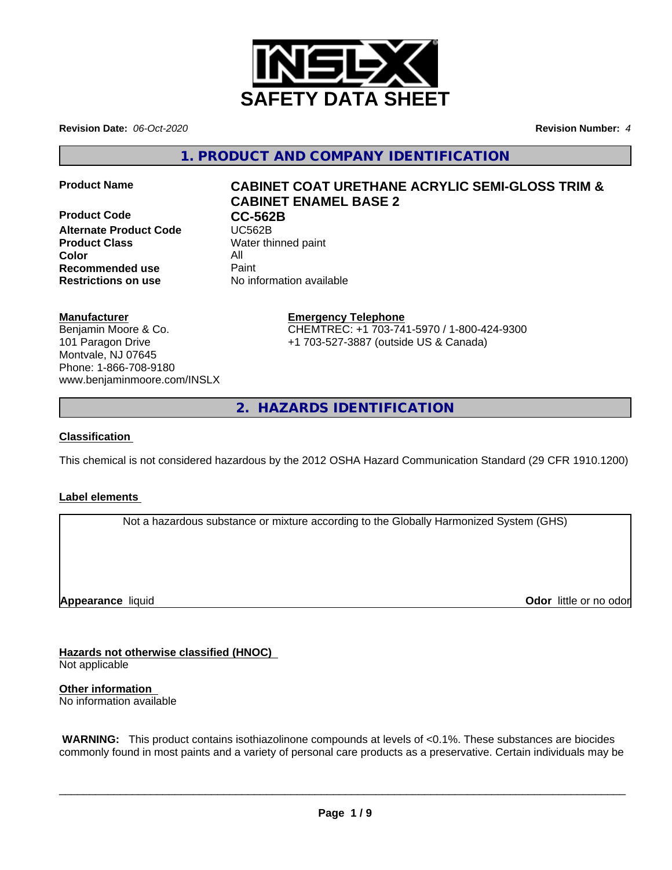

**Revision Date:** *06-Oct-2020* **Revision Number:** *4*

**1. PRODUCT AND COMPANY IDENTIFICATION**

**Product Code CC-562B**<br> **Alternate Product Code CC-562B Alternate Product Code Product Class** Water thinned paint **Color** All **Recommended use** Paint **Restrictions on use** No information available

# **Product Name CABINET COAT URETHANE ACRYLIC SEMI-GLOSS TRIM & CABINET ENAMEL BASE 2**

# **Manufacturer**

Benjamin Moore & Co. 101 Paragon Drive Montvale, NJ 07645 Phone: 1-866-708-9180 www.benjaminmoore.com/INSLX

# **Emergency Telephone**

CHEMTREC: +1 703-741-5970 / 1-800-424-9300 +1 703-527-3887 (outside US & Canada)

**2. HAZARDS IDENTIFICATION**

## **Classification**

This chemical is not considered hazardous by the 2012 OSHA Hazard Communication Standard (29 CFR 1910.1200)

# **Label elements**

Not a hazardous substance or mixture according to the Globally Harmonized System (GHS)

**Appearance** liquid

**Odor** little or no odor

**Hazards not otherwise classified (HNOC)**

Not applicable

**Other information** No information available

 **WARNING:** This product contains isothiazolinone compounds at levels of <0.1%. These substances are biocides commonly found in most paints and a variety of personal care products as a preservative. Certain individuals may be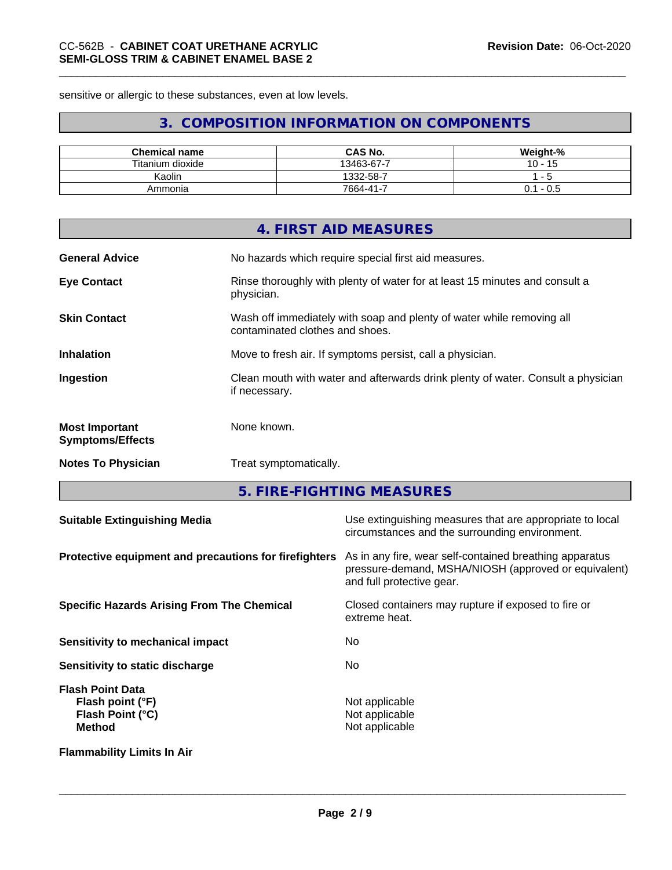sensitive or allergic to these substances, even at low levels.

# **3. COMPOSITION INFORMATION ON COMPONENTS**

| <b>Chemical name</b>    | <b>CAS No.</b>     | Weight-%       |
|-------------------------|--------------------|----------------|
| Titanium u<br>ı dioxide | 13463-67-7<br>-    | 1 <sub>0</sub> |
| Kaolin                  | 1332-58-7          | --             |
| Ammonia                 | -<br>$7664 - 41 -$ | - U.S<br>υ. ι  |

|                                                  | 4. FIRST AID MEASURES                                                                                    |
|--------------------------------------------------|----------------------------------------------------------------------------------------------------------|
| <b>General Advice</b>                            | No hazards which require special first aid measures.                                                     |
| <b>Eye Contact</b>                               | Rinse thoroughly with plenty of water for at least 15 minutes and consult a<br>physician.                |
| <b>Skin Contact</b>                              | Wash off immediately with soap and plenty of water while removing all<br>contaminated clothes and shoes. |
| <b>Inhalation</b>                                | Move to fresh air. If symptoms persist, call a physician.                                                |
| Ingestion                                        | Clean mouth with water and afterwards drink plenty of water. Consult a physician<br>if necessary.        |
| <b>Most Important</b><br><b>Symptoms/Effects</b> | None known.                                                                                              |
| <b>Notes To Physician</b>                        | Treat symptomatically.                                                                                   |
|                                                  |                                                                                                          |

**5. FIRE-FIGHTING MEASURES**

| <b>Suitable Extinguishing Media</b>                                              | Use extinguishing measures that are appropriate to local<br>circumstances and the surrounding environment.                                   |
|----------------------------------------------------------------------------------|----------------------------------------------------------------------------------------------------------------------------------------------|
| Protective equipment and precautions for firefighters                            | As in any fire, wear self-contained breathing apparatus<br>pressure-demand, MSHA/NIOSH (approved or equivalent)<br>and full protective gear. |
| <b>Specific Hazards Arising From The Chemical</b>                                | Closed containers may rupture if exposed to fire or<br>extreme heat.                                                                         |
| Sensitivity to mechanical impact                                                 | No.                                                                                                                                          |
| Sensitivity to static discharge                                                  | No.                                                                                                                                          |
| <b>Flash Point Data</b><br>Flash point (°F)<br>Flash Point (°C)<br><b>Method</b> | Not applicable<br>Not applicable<br>Not applicable                                                                                           |
| <b>Flammability Limits In Air</b>                                                |                                                                                                                                              |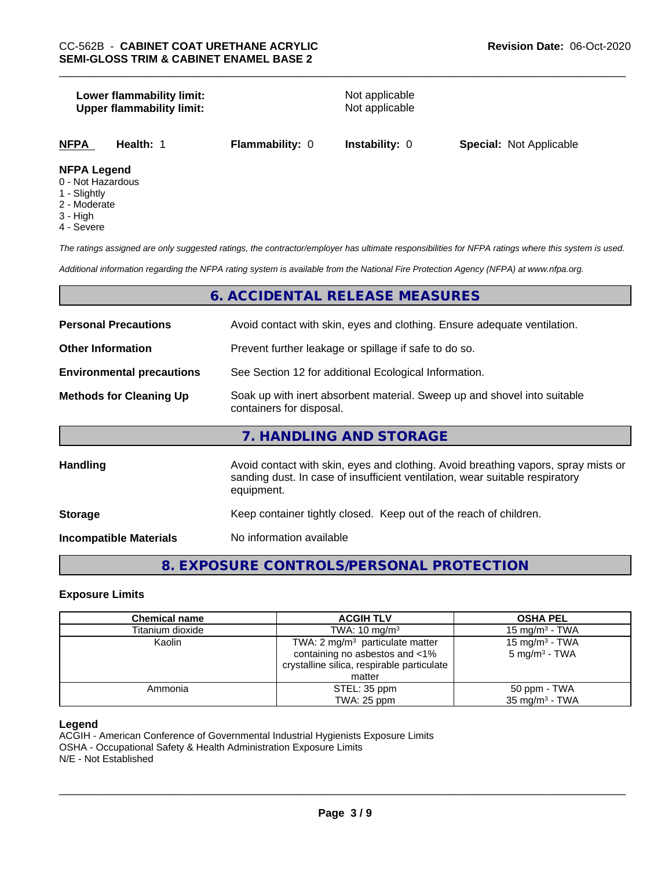#### **Lower flammability limit:**<br> **Upper flammability limit:**<br>
Upper flammability limit:<br>
Not applicable **Upper flammability limit:**

**NFPA Health:** 1 **Flammability:** 0 **Instability:** 0 **Special:** Not Applicable

# **NFPA Legend**

- 0 Not Hazardous
- 1 Slightly
- 2 Moderate
- 3 High
- 4 Severe

*The ratings assigned are only suggested ratings, the contractor/employer has ultimate responsibilities for NFPA ratings where this system is used.*

*Additional information regarding the NFPA rating system is available from the National Fire Protection Agency (NFPA) at www.nfpa.org.*

# **6. ACCIDENTAL RELEASE MEASURES**

| <b>Personal Precautions</b>      | Avoid contact with skin, eyes and clothing. Ensure adequate ventilation.                                                                                                         |
|----------------------------------|----------------------------------------------------------------------------------------------------------------------------------------------------------------------------------|
| <b>Other Information</b>         | Prevent further leakage or spillage if safe to do so.                                                                                                                            |
| <b>Environmental precautions</b> | See Section 12 for additional Ecological Information.                                                                                                                            |
| <b>Methods for Cleaning Up</b>   | Soak up with inert absorbent material. Sweep up and shovel into suitable<br>containers for disposal.                                                                             |
|                                  | 7. HANDLING AND STORAGE                                                                                                                                                          |
| Handling                         | Avoid contact with skin, eyes and clothing. Avoid breathing vapors, spray mists or<br>sanding dust. In case of insufficient ventilation, wear suitable respiratory<br>equipment. |
| <b>Storage</b>                   | Keep container tightly closed. Keep out of the reach of children.                                                                                                                |
| <b>Incompatible Materials</b>    | No information available                                                                                                                                                         |

# **8. EXPOSURE CONTROLS/PERSONAL PROTECTION**

#### **Exposure Limits**

| <b>Chemical name</b> | <b>ACGIH TLV</b>                           | <b>OSHA PEL</b>            |
|----------------------|--------------------------------------------|----------------------------|
| Titanium dioxide     | TWA: $10 \text{ mg/m}^3$                   | 15 mg/m $3$ - TWA          |
| Kaolin               | TWA: $2 \text{ mg/m}^3$ particulate matter | 15 mg/m <sup>3</sup> - TWA |
|                      | containing no asbestos and <1%             | $5 \text{ mg/m}^3$ - TWA   |
|                      | crystalline silica, respirable particulate |                            |
|                      | matter                                     |                            |
| Ammonia              | STEL: 35 ppm                               | 50 ppm - TWA               |
|                      | TWA: 25 ppm                                | 35 mg/m <sup>3</sup> - TWA |

#### **Legend**

ACGIH - American Conference of Governmental Industrial Hygienists Exposure Limits OSHA - Occupational Safety & Health Administration Exposure Limits N/E - Not Established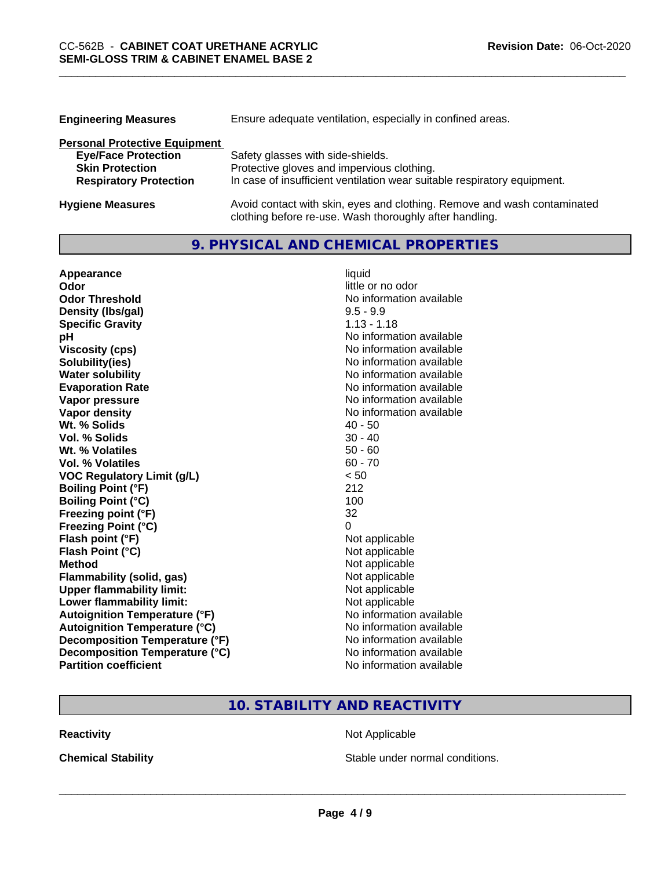| <b>Engineering Measures</b>          | Ensure adequate ventilation, especially in confined areas.               |  |
|--------------------------------------|--------------------------------------------------------------------------|--|
| <b>Personal Protective Equipment</b> |                                                                          |  |
| <b>Eye/Face Protection</b>           | Safety glasses with side-shields.                                        |  |
| <b>Skin Protection</b>               | Protective gloves and impervious clothing.                               |  |
| <b>Respiratory Protection</b>        | In case of insufficient ventilation wear suitable respiratory equipment. |  |
| <b>Hygiene Measures</b>              | Avoid contact with skin, eyes and clothing. Remove and wash contaminated |  |

clothing before re-use. Wash thoroughly after handling.

# **9. PHYSICAL AND CHEMICAL PROPERTIES**

| Appearance                            | liquid                   |
|---------------------------------------|--------------------------|
| Odor                                  | little or no odor        |
| <b>Odor Threshold</b>                 | No information available |
| Density (Ibs/gal)                     | $9.5 - 9.9$              |
| <b>Specific Gravity</b>               | $1.13 - 1.18$            |
| рH                                    | No information available |
| <b>Viscosity (cps)</b>                | No information available |
| Solubility(ies)                       | No information available |
| <b>Water solubility</b>               | No information available |
| <b>Evaporation Rate</b>               | No information available |
| Vapor pressure                        | No information available |
| <b>Vapor density</b>                  | No information available |
| Wt. % Solids                          | $40 - 50$                |
| <b>Vol. % Solids</b>                  | $30 - 40$                |
| Wt. % Volatiles                       | $50 - 60$                |
| Vol. % Volatiles                      | $60 - 70$                |
| <b>VOC Regulatory Limit (g/L)</b>     | < 50                     |
| <b>Boiling Point (°F)</b>             | 212                      |
| <b>Boiling Point (°C)</b>             | 100                      |
| Freezing point (°F)                   | 32                       |
| <b>Freezing Point (°C)</b>            | 0                        |
| Flash point (°F)                      | Not applicable           |
| Flash Point (°C)                      | Not applicable           |
| <b>Method</b>                         | Not applicable           |
| <b>Flammability (solid, gas)</b>      | Not applicable           |
| <b>Upper flammability limit:</b>      | Not applicable           |
| Lower flammability limit:             | Not applicable           |
| <b>Autoignition Temperature (°F)</b>  | No information available |
| <b>Autoignition Temperature (°C)</b>  | No information available |
| <b>Decomposition Temperature (°F)</b> | No information available |
| Decomposition Temperature (°C)        | No information available |
| <b>Partition coefficient</b>          | No information available |

# **10. STABILITY AND REACTIVITY**

**Reactivity Not Applicable** Not Applicable

**Chemical Stability Chemical Stability** Stable under normal conditions.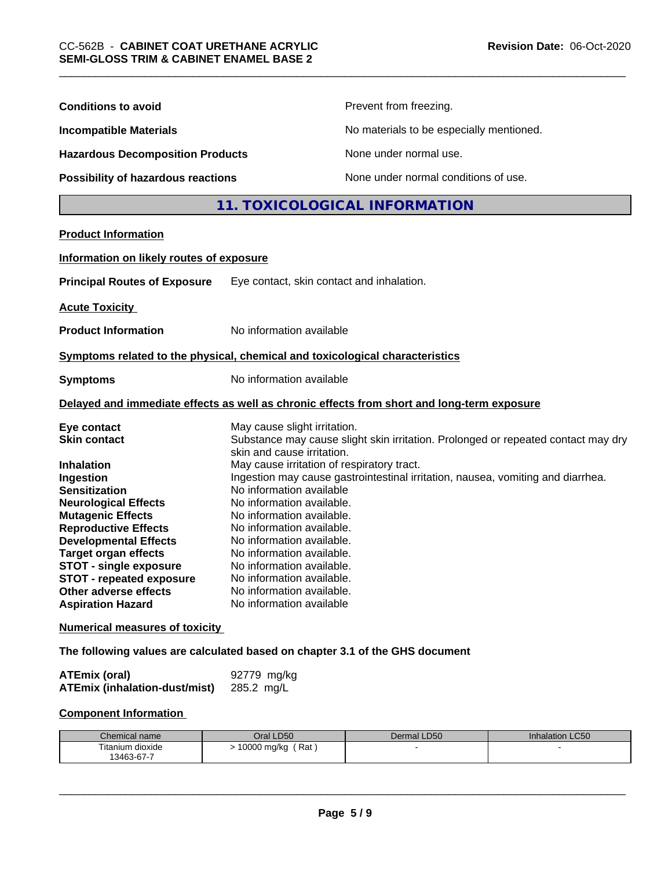| <b>Conditions to avoid</b>                                                                                                                                                                                                                                                                                                                                                     | Prevent from freezing.                                                                                                                                                                                                                                                                                                                                                                                                                                                                                                                                                           |                                          |                 |  |
|--------------------------------------------------------------------------------------------------------------------------------------------------------------------------------------------------------------------------------------------------------------------------------------------------------------------------------------------------------------------------------|----------------------------------------------------------------------------------------------------------------------------------------------------------------------------------------------------------------------------------------------------------------------------------------------------------------------------------------------------------------------------------------------------------------------------------------------------------------------------------------------------------------------------------------------------------------------------------|------------------------------------------|-----------------|--|
| <b>Incompatible Materials</b>                                                                                                                                                                                                                                                                                                                                                  |                                                                                                                                                                                                                                                                                                                                                                                                                                                                                                                                                                                  | No materials to be especially mentioned. |                 |  |
| <b>Hazardous Decomposition Products</b><br>Possibility of hazardous reactions                                                                                                                                                                                                                                                                                                  |                                                                                                                                                                                                                                                                                                                                                                                                                                                                                                                                                                                  | None under normal use.                   |                 |  |
|                                                                                                                                                                                                                                                                                                                                                                                |                                                                                                                                                                                                                                                                                                                                                                                                                                                                                                                                                                                  | None under normal conditions of use.     |                 |  |
|                                                                                                                                                                                                                                                                                                                                                                                |                                                                                                                                                                                                                                                                                                                                                                                                                                                                                                                                                                                  | 11. TOXICOLOGICAL INFORMATION            |                 |  |
| <b>Product Information</b>                                                                                                                                                                                                                                                                                                                                                     |                                                                                                                                                                                                                                                                                                                                                                                                                                                                                                                                                                                  |                                          |                 |  |
| Information on likely routes of exposure                                                                                                                                                                                                                                                                                                                                       |                                                                                                                                                                                                                                                                                                                                                                                                                                                                                                                                                                                  |                                          |                 |  |
| <b>Principal Routes of Exposure</b>                                                                                                                                                                                                                                                                                                                                            | Eye contact, skin contact and inhalation.                                                                                                                                                                                                                                                                                                                                                                                                                                                                                                                                        |                                          |                 |  |
| <b>Acute Toxicity</b>                                                                                                                                                                                                                                                                                                                                                          |                                                                                                                                                                                                                                                                                                                                                                                                                                                                                                                                                                                  |                                          |                 |  |
| <b>Product Information</b>                                                                                                                                                                                                                                                                                                                                                     | No information available                                                                                                                                                                                                                                                                                                                                                                                                                                                                                                                                                         |                                          |                 |  |
| Symptoms related to the physical, chemical and toxicological characteristics                                                                                                                                                                                                                                                                                                   |                                                                                                                                                                                                                                                                                                                                                                                                                                                                                                                                                                                  |                                          |                 |  |
| <b>Symptoms</b>                                                                                                                                                                                                                                                                                                                                                                | No information available                                                                                                                                                                                                                                                                                                                                                                                                                                                                                                                                                         |                                          |                 |  |
| Delayed and immediate effects as well as chronic effects from short and long-term exposure                                                                                                                                                                                                                                                                                     |                                                                                                                                                                                                                                                                                                                                                                                                                                                                                                                                                                                  |                                          |                 |  |
| Eye contact<br><b>Skin contact</b><br><b>Inhalation</b><br>Ingestion<br><b>Sensitization</b><br><b>Neurological Effects</b><br><b>Mutagenic Effects</b><br><b>Reproductive Effects</b><br><b>Developmental Effects</b><br><b>Target organ effects</b><br><b>STOT - single exposure</b><br><b>STOT - repeated exposure</b><br>Other adverse effects<br><b>Aspiration Hazard</b> | May cause slight irritation.<br>Substance may cause slight skin irritation. Prolonged or repeated contact may dry<br>skin and cause irritation.<br>May cause irritation of respiratory tract.<br>Ingestion may cause gastrointestinal irritation, nausea, vomiting and diarrhea.<br>No information available<br>No information available.<br>No information available.<br>No information available.<br>No information available.<br>No information available.<br>No information available.<br>No information available.<br>No information available.<br>No information available |                                          |                 |  |
| <b>Numerical measures of toxicity</b>                                                                                                                                                                                                                                                                                                                                          |                                                                                                                                                                                                                                                                                                                                                                                                                                                                                                                                                                                  |                                          |                 |  |
| The following values are calculated based on chapter 3.1 of the GHS document                                                                                                                                                                                                                                                                                                   |                                                                                                                                                                                                                                                                                                                                                                                                                                                                                                                                                                                  |                                          |                 |  |
| <b>ATEmix (oral)</b><br><b>ATEmix (inhalation-dust/mist)</b>                                                                                                                                                                                                                                                                                                                   | 92779 mg/kg<br>285.2 mg/L                                                                                                                                                                                                                                                                                                                                                                                                                                                                                                                                                        |                                          |                 |  |
| <b>Component Information</b>                                                                                                                                                                                                                                                                                                                                                   |                                                                                                                                                                                                                                                                                                                                                                                                                                                                                                                                                                                  |                                          |                 |  |
| Chemical name                                                                                                                                                                                                                                                                                                                                                                  | Oral LD50                                                                                                                                                                                                                                                                                                                                                                                                                                                                                                                                                                        | Dermal LD50                              | Inhalation LC50 |  |
| Titanium dioxide<br>13463-67-7                                                                                                                                                                                                                                                                                                                                                 | > 10000 mg/kg (Rat)                                                                                                                                                                                                                                                                                                                                                                                                                                                                                                                                                              |                                          |                 |  |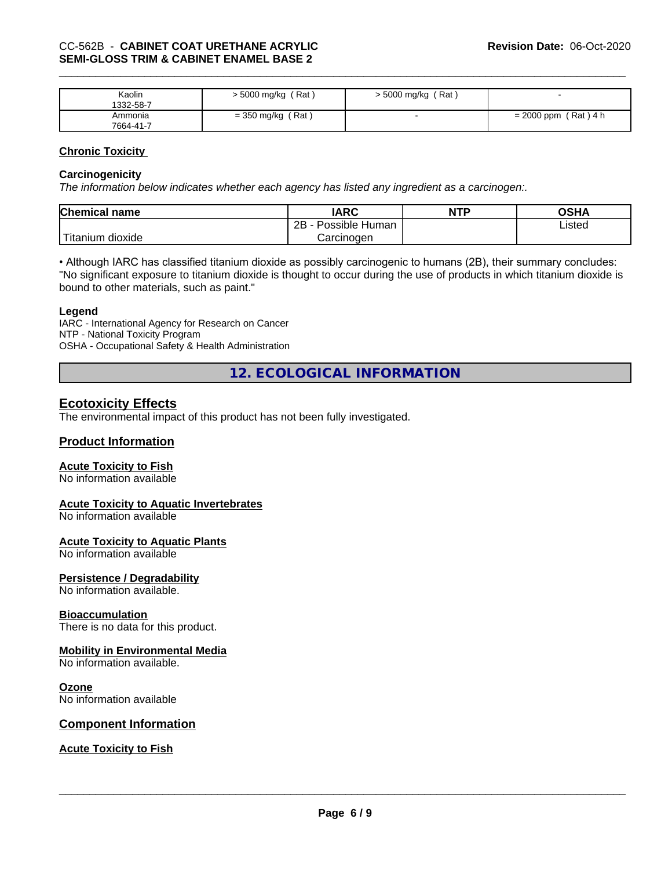| Kaolin<br>1332-58-7  | 5000 mg/kg (Rat)    | > 5000 mg/kg (Rat) |                        |
|----------------------|---------------------|--------------------|------------------------|
| Ammonia<br>7664-41-7 | $=$ 350 mg/kg (Rat) |                    | $= 2000$ ppm (Rat) 4 h |

### **Chronic Toxicity**

#### **Carcinogenicity**

*The information below indicateswhether each agency has listed any ingredient as a carcinogen:.*

| <b>Chemical name</b>             | <b>IARC</b>          | <b>NTP</b> | OSHA   |
|----------------------------------|----------------------|------------|--------|
|                                  | Possible Human<br>2B |            | Listed |
| $\mathbf{r}$<br>Fitanium dioxide | Carcinogen           |            |        |

• Although IARC has classified titanium dioxide as possibly carcinogenic to humans (2B), their summary concludes: "No significant exposure to titanium dioxide is thought to occur during the use of products in which titanium dioxide is bound to other materials, such as paint."

#### **Legend**

IARC - International Agency for Research on Cancer NTP - National Toxicity Program OSHA - Occupational Safety & Health Administration

**12. ECOLOGICAL INFORMATION**

# **Ecotoxicity Effects**

The environmental impact of this product has not been fully investigated.

# **Product Information**

#### **Acute Toxicity to Fish**

No information available

#### **Acute Toxicity to Aquatic Invertebrates**

No information available

# **Acute Toxicity to Aquatic Plants**

No information available

# **Persistence / Degradability**

No information available.

# **Bioaccumulation**

There is no data for this product.

# **Mobility in Environmental Media**

No information available.

#### **Ozone**

No information available

# **Component Information**

# **Acute Toxicity to Fish**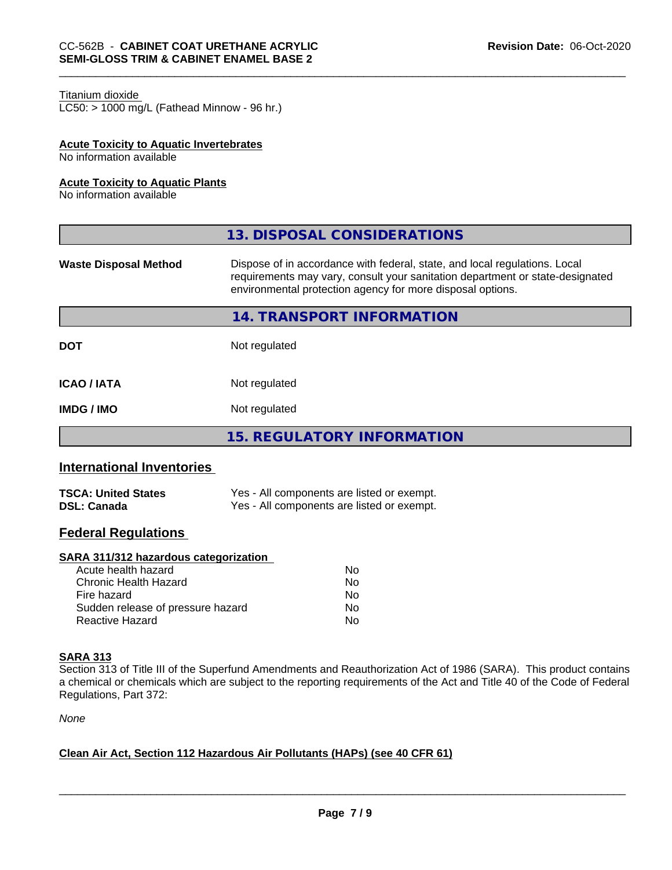#### Titanium dioxide

 $LC50:$  > 1000 mg/L (Fathead Minnow - 96 hr.)

### **Acute Toxicity to Aquatic Invertebrates**

No information available

#### **Acute Toxicity to Aquatic Plants**

No information available

|                              | 13. DISPOSAL CONSIDERATIONS                                                                                                                                                                                               |
|------------------------------|---------------------------------------------------------------------------------------------------------------------------------------------------------------------------------------------------------------------------|
| <b>Waste Disposal Method</b> | Dispose of in accordance with federal, state, and local regulations. Local<br>requirements may vary, consult your sanitation department or state-designated<br>environmental protection agency for more disposal options. |
|                              | 14. TRANSPORT INFORMATION                                                                                                                                                                                                 |
| <b>DOT</b>                   | Not regulated                                                                                                                                                                                                             |
| <b>ICAO / IATA</b>           | Not regulated                                                                                                                                                                                                             |
| <b>IMDG / IMO</b>            | Not regulated                                                                                                                                                                                                             |
|                              | <b>15. REGULATORY INFORMATION</b>                                                                                                                                                                                         |
|                              |                                                                                                                                                                                                                           |

# **International Inventories**

| <b>TSCA: United States</b> | Yes - All components are listed or exempt. |
|----------------------------|--------------------------------------------|
| <b>DSL: Canada</b>         | Yes - All components are listed or exempt. |

# **Federal Regulations**

#### **SARA 311/312 hazardous categorization**

| Acute health hazard               | Nο |  |
|-----------------------------------|----|--|
| Chronic Health Hazard             | Nο |  |
| Fire hazard                       | N٥ |  |
| Sudden release of pressure hazard | Nο |  |
| Reactive Hazard                   | Nο |  |

#### **SARA 313**

Section 313 of Title III of the Superfund Amendments and Reauthorization Act of 1986 (SARA). This product contains a chemical or chemicals which are subject to the reporting requirements of the Act and Title 40 of the Code of Federal Regulations, Part 372:

*None*

#### **Clean Air Act,Section 112 Hazardous Air Pollutants (HAPs) (see 40 CFR 61)**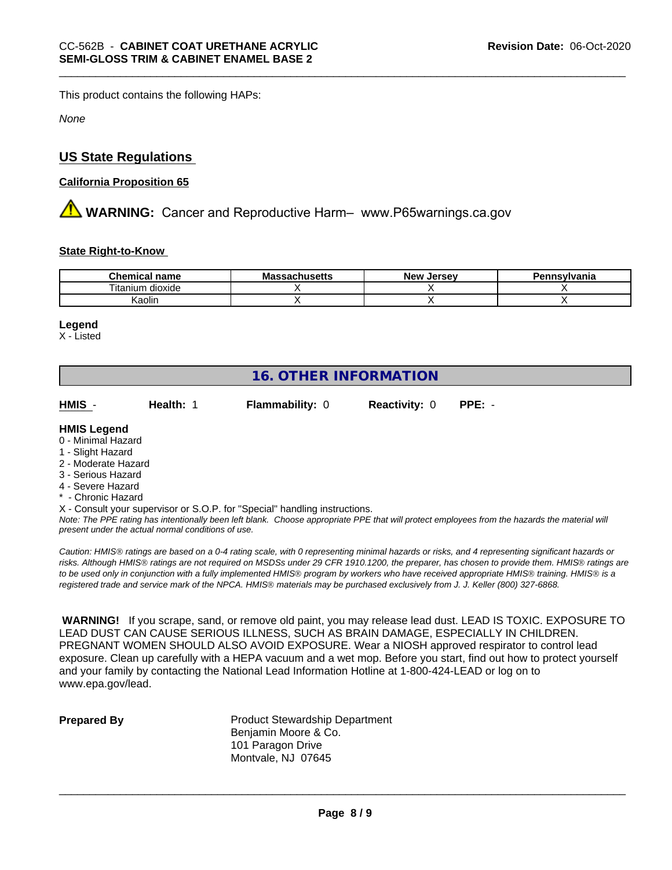This product contains the following HAPs:

*None*

# **US State Regulations**

### **California Proposition 65**

**AN** WARNING: Cancer and Reproductive Harm– www.P65warnings.ca.gov

### **State Right-to-Know**

| <b>Chemica</b><br>name<br>теппсаг  | IVIC<br>uscus | <b>Jersev</b><br><b>Nev</b> | าทรงIvania |
|------------------------------------|---------------|-----------------------------|------------|
| .<br>--<br>dioxide<br>ιm<br>itanii |               |                             |            |
| .<br>Kaolin                        |               |                             |            |

#### **Legend**

X - Listed

# **16. OTHER INFORMATION**

| HMIS | Health: 1 | <b>Flammability: 0</b> | <b>Reactivity: 0 PPE: -</b> |  |  |
|------|-----------|------------------------|-----------------------------|--|--|
|------|-----------|------------------------|-----------------------------|--|--|

### **HMIS Legend**

- 0 Minimal Hazard
- 1 Slight Hazard
- 2 Moderate Hazard
- 3 Serious Hazard
- 4 Severe Hazard
- \* Chronic Hazard
- X Consult your supervisor or S.O.P. for "Special" handling instructions.

*Note: The PPE rating has intentionally been left blank. Choose appropriate PPE that will protect employees from the hazards the material will present under the actual normal conditions of use.*

*Caution: HMISÒ ratings are based on a 0-4 rating scale, with 0 representing minimal hazards or risks, and 4 representing significant hazards or risks. Although HMISÒ ratings are not required on MSDSs under 29 CFR 1910.1200, the preparer, has chosen to provide them. HMISÒ ratings are to be used only in conjunction with a fully implemented HMISÒ program by workers who have received appropriate HMISÒ training. HMISÒ is a registered trade and service mark of the NPCA. HMISÒ materials may be purchased exclusively from J. J. Keller (800) 327-6868.*

 **WARNING!** If you scrape, sand, or remove old paint, you may release lead dust. LEAD IS TOXIC. EXPOSURE TO LEAD DUST CAN CAUSE SERIOUS ILLNESS, SUCH AS BRAIN DAMAGE, ESPECIALLY IN CHILDREN. PREGNANT WOMEN SHOULD ALSO AVOID EXPOSURE.Wear a NIOSH approved respirator to control lead exposure. Clean up carefully with a HEPA vacuum and a wet mop. Before you start, find out how to protect yourself and your family by contacting the National Lead Information Hotline at 1-800-424-LEAD or log on to www.epa.gov/lead.

**Prepared By** Product Stewardship Department Benjamin Moore & Co. 101 Paragon Drive Montvale, NJ 07645